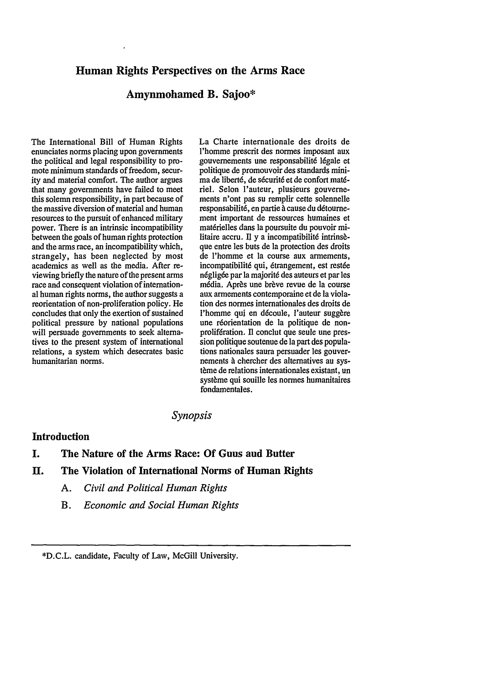# **Human Rights Perspectives on the Arms Race**

# **Amynmohamed B. Sajoo\***

The International Bill of Human Rights enunciates norms placing upon governments the political and legal responsibility to promote minimum standards of freedom, security and material comfort. The author argues that many governments have failed to meet this solemn responsibility, in part because of the massive diversion of material and human resources to the pursuit of enhanced military power. There is an intrinsic incompatibility between the goals of human rights protection and the arms race, an incompatibility which, strangely, has been neglected by most academics as well as the media. After reviewing briefly the nature of the present arms race and consequent violation of international human rights norms, the author suggests a reorientation of non-proliferation policy. He concludes that only the exertion of sustained political pressure by national populations will persuade governments to seek alternatives to the present system of international relations, a system which desecrates basic humanitarian norms.

La Charte internationale des droits de l'homme prescrit des normes imposant aux gouvernements une responsabilit6 16gale et politique de promouvoir des standards minima de liberté, de sécurité et de confort matériel. Selon l'auteur, plusieurs gouvernements n'ont pas su remplir cette solennelle responsabilité, en partie à cause du détournement important de ressources humaines et matérielles dans la poursuite du pouvoir militaire accru. Il y a incompatibilité intrinsèque entre les buts de la protection des droits de l'homme et la course aux armements, incompatibilité qui, étrangement, est restée négligée par la majorité des auteurs et par les média. Après une brève revue de la course aux armements contemporaine et de la violation des normes internationales des droits de l'homme qui en découle, l'auteur suggère une réorientation de la politique de nonprolifération. Il conclut que seule une pression politique soutenue de la part des populations nationales saura persuader les gouvernements **A** chercher des alternatives au système de relations internationales existant, un système qui souille les normes humanitaires fondamentales.

# *Synopsis*

#### **Introduction**

# **I. The Nature of the Arms Race: Of Guns and Butter**

### **11. The Violation of International Norms of Human Rights**

- *A. Civil and Political Human Rights*
- *B. Economic and Social Human Rights*

**\*D.C.L.** candidate, Faculty of Law, McGill University.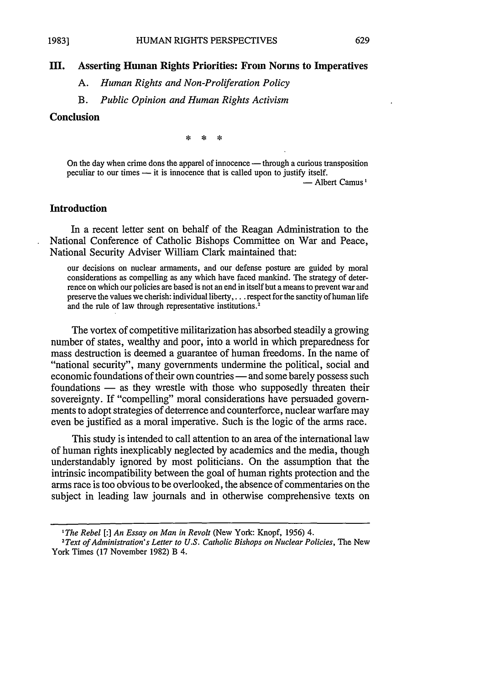### **M. Asserting Human Rights Priorities: From Norms to Imperatives**

*A. Human Rights and Non-Proliferation Policy*

*B. Public Opinion and Human Rights Activism*

### **Conclusion**

**1983)**

尖  $\dot{\mathbf{x}}$ 

On the day when crime dons the apparel of innocence  $-$  through a curious transposition peculiar to our times  $-$  it is innocence that is called upon to justify itself.

- Albert Camus<sup>1</sup>

#### **Introduction**

In a recent letter sent on behalf of the Reagan Administration to the National Conference of Catholic Bishops Committee on War and Peace, National Security Adviser William Clark maintained that:

our decisions on nuclear armaments, and our defense posture are guided **by** moral considerations as compelling as any which have faced mankind. The strategy of deterrence on which our policies are based is not an end in itself but a means to prevent war and preserve **the values** we cherish: **individual** liberty,... respect for the sanctity of human life and the rule of law through representative institutions.<sup>2</sup>

The vortex of competitive militarization has absorbed steadily a growing number of states, wealthy and poor, into a world in which preparedness for mass destruction is deemed a guarantee of human freedoms. In the name of "national security", many governments undermine the political, social and economic foundations of their own countries — and some barely possess such foundations — as they wrestle with those who supposedly threaten their sovereignty. If "compelling" moral considerations have persuaded governments to adopt strategies of deterrence and counterforce, nuclear warfare may even be justified as a moral imperative. Such is the logic of the arms race.

This study is intended to call attention to an area of the international law of human rights inexplicably neglected **by** academics and the media, though understandably ignored **by** most politicians. On the assumption that the intrinsic incompatibility between the goal of human rights protection and the arms race is too obvious to be overlooked, the absence of commentaries on the subject in leading law journals and in otherwise comprehensive texts on

*I The Rebel* **[:]** *An Essay on Man in Revolt* (New York: Knopf, 1956) 4.

<sup>&</sup>lt;sup>2</sup>Text of Administration's Letter to U.S. Catholic Bishops on Nuclear Policies, The New York Times (17 November 1982) B 4.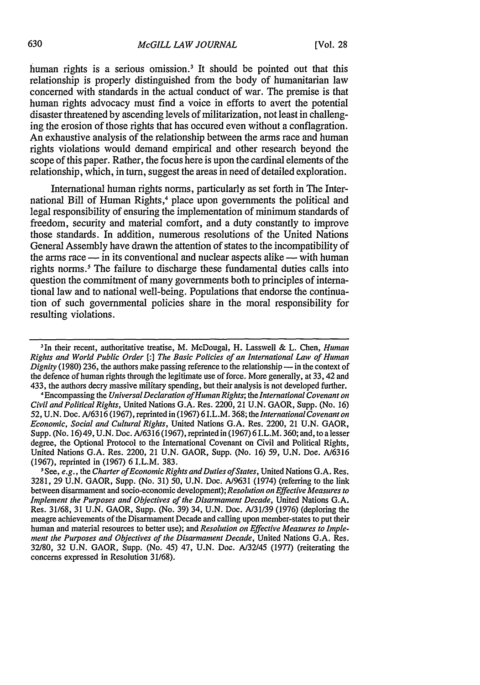human rights is a serious omission.<sup>3</sup> It should be pointed out that this relationship is properly distinguished from the body of humanitarian law concerned with standards in the actual conduct of war. The premise is that human rights advocacy must find a voice in efforts to avert the potential disaster threatened by ascending levels of militarization, not least in challenging the erosion of those rights that has occured even without a conflagration. An exhaustive analysis of the relationship between the arms race and human rights violations would demand empirical and other research beyond the scope of this paper. Rather, the focus here is upon the cardinal elements of the relationship, which, in turn, suggest the areas in need of detailed exploration.

International human rights norms, particularly as set forth in The International Bill of Human Rights,<sup>4</sup> place upon governments the political and legal responsibility of ensuring the implementation of minimum standards of freedom, security and material comfort, and a duty constantly to improve those standards. In addition, numerous resolutions of the United Nations General Assembly have drawn the attention of states to the incompatibility of the arms race  $-\frac{1}{2}$  in its conventional and nuclear aspects alike  $-\frac{1}{2}$  with human rights norms.<sup>5</sup> The failure to discharge these fundamental duties calls into question the commitment of many governments both to principles of international law and to national well-being. Populations that endorse the continuation of such governmental policies share in the moral responsibility for resulting violations.

<sup>&</sup>lt;sup>3</sup>In their recent, authoritative treatise, M. McDougal, H. Lasswell & L. Chen, *Human Rights and World Public Order [:] The Basic Policies of an International Law of Human Dignity* (1980) 236, the authors make passing reference to the relationship — in the context of the defence of human rights through the legitimate use of force. More generally, at 33, 42 and 433, the authors decry massive military spending, but their analysis is not developed further.

<sup>&#</sup>x27;Encompassing the *UniversalDeclaration of Human Rights;* the *International Covenant on Civil and Political Rights,* United Nations G.A. Res. 2200, 21 U.N. GAOR, Supp. (No. 16) 52, U.N. Doc. A/6316 (1967), reprinted in (1967) 6 I.L.M. 368; the *International Covenant on Economic, Social and Cultural Rights,* United Nations G.A. Res. 2200, 21 U.N. GAOR, Supp. (No. 16) 49, U.N. Doc. A/6316 (1967), reprinted in (1967) 6 I.L.M. 360; and, to a lesser degree, the Optional Protocol to the International Covenant on Civil and Political Rights, United Nations G.A. Res. 2200, 21 U.N. GAOR, Supp. (No. 16) 59, U.N. Doc. A/6316 (1967), reprinted in (1967) 6 I.L.M. 383.

<sup>-</sup>See, *e.g.,* the *Charter of Economic Rights and Duties of States,* United Nations G.A. Res. 3281, 29 U.N. GAOR, Supp. (No. 31) *50,* U.N. Doc. A/9631 (1974) (referring to the link between disarmament and socio-economic development); *Resolution on Effective Measures to Implement the Purposes and Objectives of the Disarmament Decade,* United Nations G.A. Res. 31/68, 31 U.N. GAOR, Supp. (No. 39) 34, U.N. Doc. A/31/39 (1976) (deploring the meagre achievements of the Disarmament Decade and calling upon member-states to put their human and material resources to better use); and *Resolution on Effective Measures to Implement the Purposes and Objectives of the Disarmament Decade,* United Nations G.A. Res. 32/80, 32 U.N. GAOR, Supp. (No. 45) 47, U.N. Doc. A/32/45 (1977) (reiterating the concerns expressed in Resolution 31/68).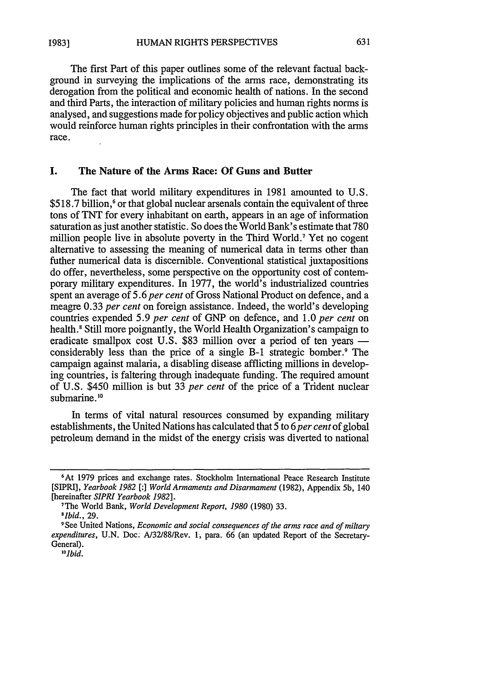The first Part of this paper outlines some of the relevant factual background in surveying the implications of the arms race, demonstrating its derogation from the political and economic health of nations. In the second and third Parts, the interaction of military policies and human rights norms is analysed, and suggestions made for policy objectives and public action which would reinforce human rights principles in their confrontation with the arms race.

### **I. The Nature of the Arms Race: Of Guns and Butter**

The fact that world military expenditures in **1981** amounted **to** U.S. \$518.7 billion,<sup>6</sup> or that global nuclear arsenals contain the equivalent of three tons of TNT for every inhabitant on earth, appears in an age of information saturation as just another statistic. So does the World Bank's estimate that 780 million people live in absolute poverty in the Third World. 7 Yet no cogent alternative to assessing the meaning of numerical data in terms other than futher numerical data is discernible. Conventional statistical juxtapositions do offer, nevertheless, some perspective on the opportunity cost of contemporary military expenditures. In 1977, the world's industrialized countries spent an average of 5.6 *per cent* of Gross National Product on defence, and a meagre **0.33** *per cent* on foreign assistance. Indeed, the world's developing countries expended 5.9 *per cent* of GNP on defence, and 1.0 *per cent* on health.<sup>8</sup> Still more poignantly, the World Health Organization's campaign to eradicate smallpox cost U.S. \$83 million over a period of ten years considerably less than the price of a single B-1 strategic bomber.' The campaign against malaria, a disabling disease afflicting millions in developing countries, is faltering through inadequate funding. The required amount of U.S. \$450 million is but 33 *per cent* of the price of a Trident nuclear submarine.<sup>10</sup>

In terms of vital natural resources consumed by expanding military establishments, the United Nations has calculated that 5 to *6 per cent* of global petroleum demand in the midst of the energy crisis was diverted to national

**<sup>6</sup>**<br> **6** At 1979 prices and exchange rates. Stockholm International Peace Research Institute [SIPRI], *Yearbook 1982 [:] World Armaments and Disarmament* (1982), Appendix 5b, 140 [hereinafter *SIPRI Yearbook 1982]* 7The World Bank, *World Development Report, 1980* (1980) 33.

*<sup>8</sup> Ibid.,* 29.

**<sup>9</sup>** See United Nations, *Economic and social consequences of the arms race and of miltary expenditures,* U.N. Doc. A/32/88/Rev. 1, para. 66 (an updated Report of the Secretary-General).

*<sup>&</sup>quot;I°bid.*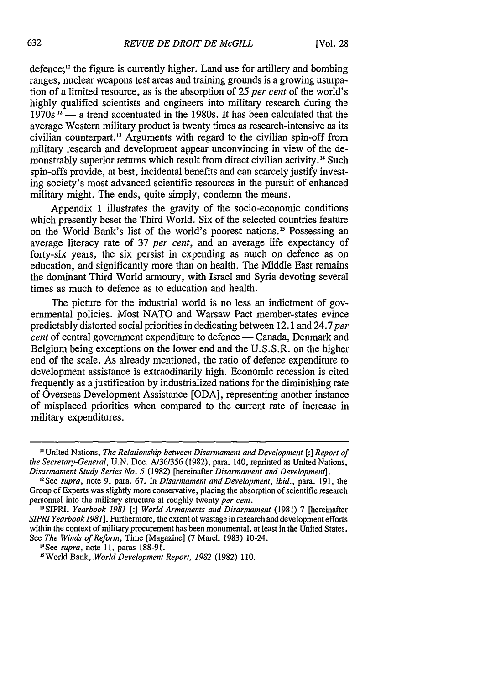defence;<sup>11</sup> the figure is currently higher. Land use for artillery and bombing ranges, nuclear weapons test areas and training grounds is a growing usurpation of a limited resource, as is the absorption of 25 *per cent* of the world's highly qualified scientists and engineers into military research during the 1970s **12 -** a trend accentuated in the 1980s. It has been calculated that the average Western military product is twenty times as research-intensive as its civilian counterpart.<sup>13</sup> Arguments with regard to the civilian spin-off from military research and development appear unconvincing in view of the demonstrably superior returns which result from direct civilian activity.<sup>14</sup> Such spin-offs provide, at best, incidental benefits and can scarcely justify investing society's most advanced scientific resources in the pursuit of enhanced military might. The ends, quite simply, condemn the means.

Appendix 1 illustrates the gravity of the socio-economic conditions which presently beset the Third World. Six of the selected countries feature on the World Bank's list of the world's poorest nations.<sup>15</sup> Possessing an average literacy rate of 37 *per cent,* and an average life expectancy of forty-six years, the six persist in expending as much on defence as on education, and significantly more than on health. The Middle East remains the dominant Third World armoury, with Israel and Syria devoting several times as much to defence as to education and health.

The picture for the industrial world is no less an indictment of governmental policies. Most NATO and Warsaw Pact member-states evince predictably distorted social priorities in dedicating between 12.1 and 24.7 *per cent* of central government expenditure to defence — Canada, Denmark and Belgium being exceptions on the lower end and the U.S.S.R. on the higher end of the scale. As already mentioned, the ratio of defence expenditure to development assistance is extraodinarily high. Economic recession is cited frequently as a justification by industrialized nations for the diminishing rate of Overseas Development Assistance [ODA], representing another instance of misplaced priorities when compared to the current rate of increase in military expenditures.

<sup>&</sup>quot;United Nations, *The Relationship between Disarmament and Development [:1 Report of the Secretary-General,* U.N. Doc. A/36/356 (1982), para. 140, reprinted as United Nations, *Disarmament Study Series No. 5* (1982) [hereinafter *Disarmament and Development].*

<sup>2</sup> See *supra,* note 9, para. 67. In *Disarmament and Development, ibid.,* para. 191, the Group of Experts was slightly more conservative, placing the absorption of scientific research personnel into the military structure at roughly twenty *per cent.*

<sup>&</sup>quot;3SIPRI, *Yearbook 1981 [:] World Armaments and Disarmament* (1981) 7 [hereinafter *SIPRI Yearbook 1981].* Furthermore, the extent of wastage in research and development efforts within the context of military procurement has been monumental, at least in the United States. See *The Winds of Reform,* Time [Magazine] (7 March 1983) 10-24.

<sup>&#</sup>x27;See *supra,* note 11, paras 188-91.

<sup>&</sup>quot; <sup>5</sup> World Bank, *World Development Report, 1982* (1982) 110.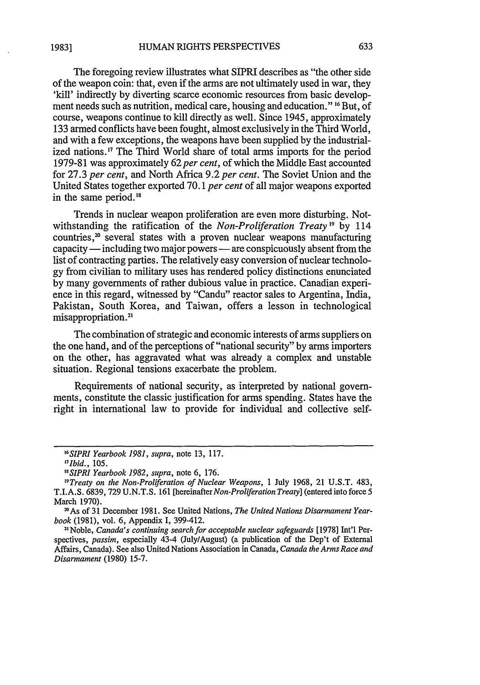The foregoing review illustrates what SIPRI describes as "the other side of the weapon coin: that, even if the arms are not ultimately used in war, they 'kill' indirectly by diverting scarce economic resources from basic development needs such as nutrition, medical care, housing and education." <sup>16</sup> But, of course, weapons continue to kill directly as well. Since 1945, approximately 133 armed conflicts have been fought, almost exclusively in the Third World, and with a few exceptions, the weapons have been supplied by the industrialized nations." The Third World share of total arms imports for the period **1979-81** was approximately 62 *per cent,* of which the Middle East accounted for 27.3 *per cent,* and North Africa 9.2 *per cent.* The Soviet Union and the United States together exported 70.1 *per cent* of all major weapons exported in the same period.<sup>18</sup>

Trends in nuclear weapon proliferation are even more disturbing. Notwithstanding the ratification of the *Non-Proliferation Treaty 9* by 114 countries, $20$  several states with a proven nuclear weapons manufacturing capacity — including two major powers — are conspicuously absent from the list of contracting parties. The relatively easy conversion of nuclear technology from civilian to military uses has rendered policy distinctions enunciated by many governments of rather dubious value in practice. Canadian experience in this regard, witnessed by "Candu" reactor sales to Argentina, India, Pakistan, South Korea, and Taiwan, offers a lesson in technological misappropriation.<sup>21</sup>

The combination of strategic and economic interests of arms suppliers on the one hand, and of the perceptions of "national security" by arms importers on the other, has aggravated what was already a complex and unstable situation. Regional tensions exacerbate the problem.

Requirements of national security, as interpreted by national governments, constitute the classic justification for arms spending. States have the right in international law to provide for individual and collective self-

*<sup>1</sup> 6 SIPRI Yearbook 1981, supra,* note 13, 117.

*<sup>17</sup>Ibid.,* 105.

*<sup>1&</sup>quot;SIPRI Yearbook 1982, supra,* note 6, 176.

*<sup>&</sup>quot;9Treaty on the Non-Proliferation of Nuclear Weapons,* 1 July 1968, 21 U.S.T. 483, T.I.A.S. 6839, 729 U.N.T.S. 161 *[hereinafterNon-Proliferation Treaty]* (entered into force 5 March 1970).

<sup>2</sup>As of 31 December 1981. See United Nations, *The United Nations Disarmament Yearbook* (1981), vol. 6, Appendix I, 399-412.

<sup>1</sup> Noble, Canada's *continuing search for acceptable nuclear safeguards* [1978] Int'l Perspectives, *passim,* especially 43-4 (July/August) (a publication of the Dep't of External Affairs, Canada). See also United Nations Association in Canada, *Canada the Arms Race and Disarmament* (1980) 15-7.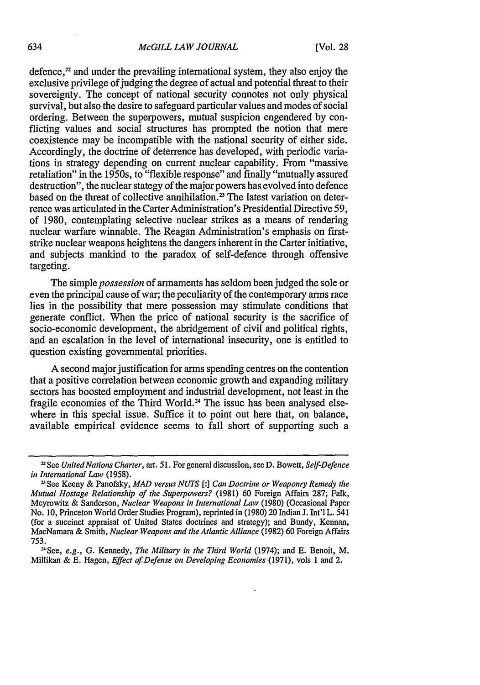defence, $2<sup>2</sup>$  and under the prevailing international system, they also enjoy the exclusive privilege of judging the degree of actual and potential threat to their sovereignty. The concept of national security connotes not only physical survival, but also the desire to safeguard particular values and modes of social ordering. Between the superpowers, mutual suspicion engendered by conflicting values and social structures has prompted the notion that mere coexistence may be incompatible with the national security of either side. Accordingly, the doctrine of deterrence has developed, with periodic variations in strategy depending on current nuclear capability. From "massive retaliation" in the 1950s, to "flexible response" and finally "mutually assured destruction", the nuclear stategy of the major powers has evolved into defence based on the threat of collective annihilation.<sup>23</sup> The latest variation on deterrence was articulated in the Carter Administration's Presidential Directive 59, of 1980, contemplating selective nuclear strikes as a means of rendering nuclear warfare winnable. The Reagan Administration's emphasis on firststrike nuclear weapons heightens the dangers inherent in the Carter initiative, and subjects mankind to the paradox of self-defence through offensive targeting.

The simple *possession* of armaments has seldom been judged the sole or even the principal cause of war; the peculiarity of the contemporary arms race lies in the possibility that mere possession may stimulate conditions that generate conflict. When the price of national security is the sacrifice of socio-economic development, the abridgement of civil and political rights, and an escalation in the level of international insecurity, one is entitled to question existing governmental priorities.

A second major justification for arms spending centres on the contention that a positive correlation between economic growth and expanding military sectors has boosted employment and industrial development, not least in the fragile economies of the Third World. 24 The issue has been analysed elsewhere in this special issue. Suffice it to point out here that, on balance, available empirical evidence seems to fall short of supporting such a

*<sup>2</sup>* See *United Nations Charter,* art. 51. For general discussion, see D. Bowett, *Self-Defence in International Law* (1958).

<sup>2</sup>See Keeny & Panofsky, *MAD versus NUTS* **[:]** *Can Doctrine or Weaponry Remedy* the *Mutual Hostage Relationship of the Superpowers?* (1981) 60 Foreign Affairs 287; Falk, Meyrowitz & Sanderson, *Nuclear Weapons in International Law* (1980) (Occasional Paper No. **10,** Princeton World Order Studies Program), reprinted in (1980) 20 Indian J. Int'l L. 541 (for a succinct appraisal of United States doctrines and strategy); and Bundy, Kennan, MacNamara & Smith, *Nuclear Weapons and the Atlantic Alliance* (1982) 60 Foreign Affairs 753.

<sup>24</sup>See, e.g., **G.** Kennedy, *The Military in the Third World* (1974); and E. Benoit, M. Millikan & E. Hagen, Effect *of Defense on Developing Economies* (1971), vols 1 and 2.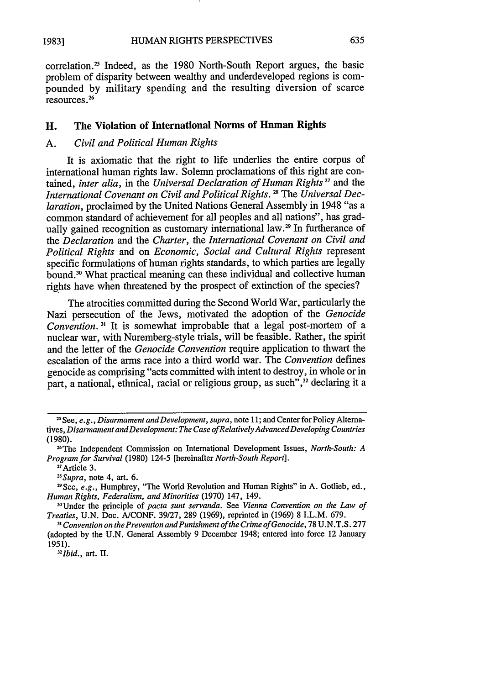correlation.<sup>25</sup> Indeed, as the 1980 North-South Report argues, the basic problem of disparity between wealthy and underdeveloped regions is compounded by military spending and the resulting diversion of scarce resources. 26

# **H.** The Violation of International Norms of Human Rights

### A. *Civil and Political Human Rights*

It is axiomatic that the right to life underlies the entire corpus of international human rights law. Solemn proclamations of this right are contained, *inter alia*, in the *Universal Declaration of Human Rights*<sup>27</sup> and the *International Covenant on Civil and Political Rights. 1* The *Universal Declaration,* proclaimed by the United Nations General Assembly in 1948 "as a common standard of achievement for all peoples and all nations", has gradually gained recognition as customary international law.<sup>29</sup> In furtherance of the *Declaration* and the *Charter,* the *International Covenant on Civil and Political Rights* and on *Economic, Social and Cultural Rights* represent specific formulations of human rights standards, to which parties are legally bound.30 What practical meaning can these individual and collective human rights have when threatened by the prospect of extinction of the species?

The atrocities committed during the Second World War, particularly the Nazi persecution of the Jews, motivated the adoption of the *Genocide Convention.*<sup>31</sup> It is somewhat improbable that a legal post-mortem of a nuclear war, with Nuremberg-style trials, will be feasible. Rather, the spirit and the letter of the *Genocide Convention* require application to thwart the escalation of the arms race into a third world war. The *Convention* defines genocide as comprising "acts committed with intent to destroy, in whole or in part, a national, ethnical, racial or religious group, as such",<sup>32</sup> declaring it a

*28Supra,* note 4, art. 6.

29See, *e.g.,* Humphrey, "The World Revolution and Human Rights" in A. Gotlieb, ed., *Human Rights, Federalism, and Minorities* (1970) 147, 149.

"Under the principle of *pacta sunt servanda.* See *Vienna Convention on the Law of Treaties,* U.N. Doe. A/CONF. 39/27, 289 (1969), reprinted in (1969) 8 I.L.M. 679.

*Ibid.,* art. *II.*

<sup>&</sup>quot;See, *e.g., Disarmament and Development, supra,* note **11;** and Center for Policy Alternatives, *Disarmament andDevelopment: The Case ofRelativelyAdvancedDeveloping Countries* (1980).

<sup>26</sup>The Independent Commission on International Development Issues, *North-South: A Program for Survival* (1980) 124-5 [hereinafter *North-South Report].* 27 Article 3.

<sup>&</sup>lt;sup>31</sup> Convention on the Prevention and Punishment of the Crime of Genocide, 78 U.N.T.S. 277 (adopted by the U.N. General Assembly 9 December 1948; entered into force 12 January 1951). *<sup>32</sup>*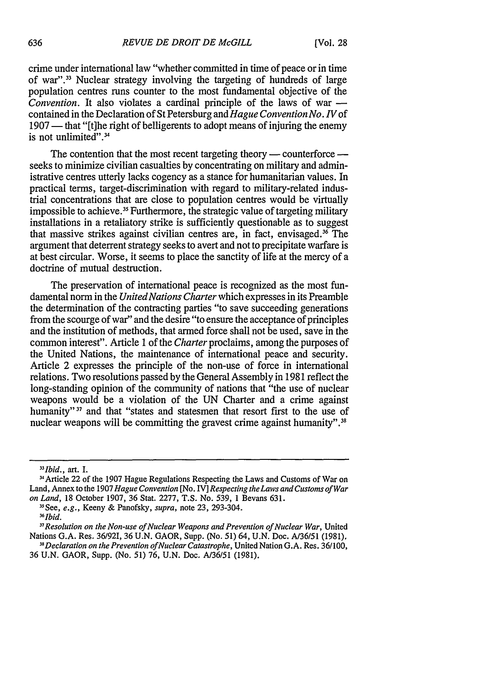crime under international law "whether committed in time of peace or in time of war".33 Nuclear strategy involving the targeting of hundreds of large population centres runs counter to the most fundamental objective of the *Convention.* It also violates a cardinal principle of the laws of war  contained in the Declaration of St Petersburg and *Hague Convention No. IV* of 1907 — that "[t]he right of belligerents to adopt means of injuring the enemy is not unlimited".<sup>34</sup>

The contention that the most recent targeting theory — counterforce seeks to minimize civilian casualties by concentrating on military and administrative centres utterly lacks cogency as a stance for humanitarian values. In practical terms, target-discrimination with regard to military-related industrial concentrations that are close to population centres would be virtually impossible to achieve.<sup>35</sup> Furthermore, the strategic value of targeting military installations in a retaliatory strike is sufficiently questionable as to suggest that massive strikes against civilian centres are, in fact, envisaged.36 The argument that deterrent strategy seeks to avert and not to precipitate warfare is at best circular. Worse, it seems to place the sanctity of life at the mercy of a doctrine of mutual destruction.

The preservation of international peace is recognized as the most fundamental norm in the *United Nations Charter* which expresses in its Preamble the determination of the contracting parties "to save succeeding generations from the scourge of war" and the desire "to ensure the acceptance of principles and the institution of methods, that armed force shall not be used, save in the common interest". Article 1 of the *Charter* proclaims, among the purposes of the United Nations, the maintenance of international peace and security. Article 2 expresses the principle of the non-use of force in international relations. Two resolutions passed by the General Assembly in 1981 reflect the long-standing opinion of the community of nations that "the use of nuclear weapons would be a violation of the UN Charter and a crime against humanity"<sup>37</sup> and that "states and statesmen that resort first to the use of nuclear weapons will be committing the gravest crime against humanity".<sup>38</sup>

*<sup>33</sup> Ibid.,* art. I.

<sup>3</sup>Article 22 of the 1907 Hague Regulations Respecting the Laws and Customs of War on Land, Annex to the 1907 *Hague Convention* [No. IV] *Respecting the Laws and Customs of War on Land,* 18 October 1907, 36 Stat. 2277, T.S. No. 539, 1 Bevans 631.

<sup>-5</sup>See, *e.g.,* Keeny & Panofsky, *supra,* note 23, 293-304.

*<sup>36</sup>Ibid.*

*<sup>37</sup> Resolution on the Non-use of Nuclear Weapons and Prevention of Nuclear War,* United Nations G.A. Res. 36/921, 36 U.N. GAOR, Supp. (No. *51)* 64, U.N. Doc. A/36/51 (1981), *<sup>3</sup> Declaration on the Prevention ofNuclear Catastrophe,* United Nation G.A. Res. 36/100,

<sup>36</sup> U.N. GAOR, Supp. (No. 51) 76, U.N. Doc. *A/36/51* (1981).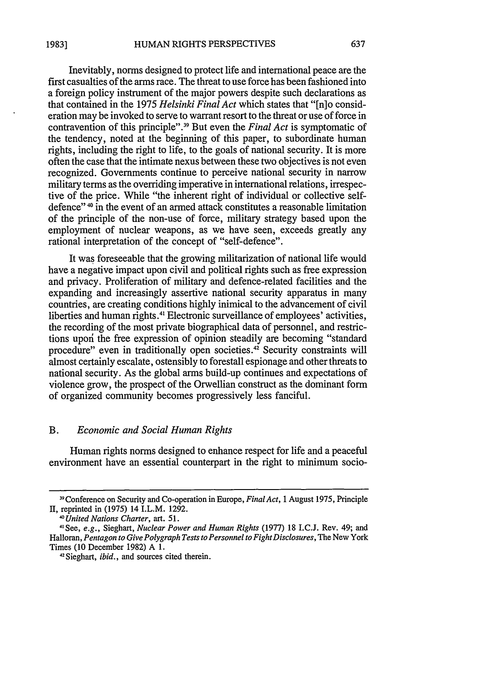**1983]**

Inevitably, norms designed to protect life and international peace are the first casualties of the arms race. The threat to use force has been fashioned into a foreign policy instrument of the major powers despite such declarations as that contained in the 1975 *Helsinki Final Act* which states that "[n]o consideration may be invoked to serve to warrant resort to the threat or use of force in contravention of this principle". 39 But even the *Final Act* is symptomatic of the tendency, noted at the beginning of this paper, to subordinate human rights, including the right to life, to the goals of national security. It is more often the case that the intimate nexus between these two objectives is not even recognized. Governments continue to perceive national security in narrow military terms as the overriding imperative in international relations, irrespec-

tive of the price. While "the inherent right of individual or collective selfdefence"<sup>40</sup> in the event of an armed attack constitutes a reasonable limitation of the principle of the non-use of force, military strategy based upon the employment of nuclear weapons, as we have seen, exceeds greatly any rational interpretation of the concept of "self-defence".

It was foreseeable that the growing militarization of national life would have a negative impact upon civil and political rights such as free expression and privacy. Proliferation of military and defence-related facilities and the expanding and increasingly assertive national security apparatus in many countries, are creating conditions highly inimical to the advancement of civil liberties and human rights.<sup>41</sup> Electronic surveillance of employees' activities the recording of the most private biographical data of personnel, and restrictions upori the free expression of opinion steadily are becoming "standard procedure" even in traditionally open societies.<sup>42</sup> Security constraints will almost certainly escalate, ostensibly to forestall espionage and other threats to national security. As the global arms build-up continues and expectations of violence grow, the prospect of the Orwellian construct as the dominant form of organized community becomes progressively less fanciful.

### B. *Economic and Social Human Rights*

Human rights norms designed to enhance respect for life and a peaceful environment have an essential counterpart in the right to minimum socio-

<sup>39</sup> Conference on Security and Co-operation in Europe, *FinalAct,* 1 August 1975, Principle II, reprinted in (1975) 14 I.L.M. 1292.

*<sup>40</sup>United Nations Charter, art. 51.* <sup>41</sup>

See, *e.g.,* Sieghart, *Nuclear Power and Human Rights* (1977) 18 I.C.J. Rev. 49; and Halloran, *Pentagon to Give Polygraph Tests to Personnel to Fight Disclosures*, The New York Times (10 December 1982) A 1.<br><sup>42</sup> Sieghart, *ibid.*, and sources cited therein.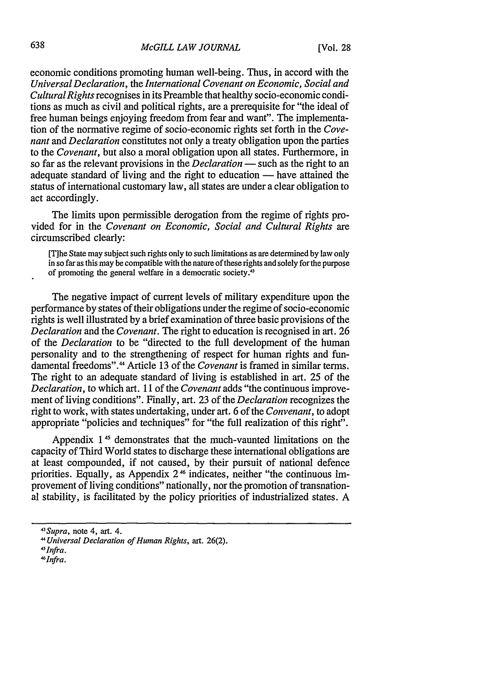economic conditions promoting human well-being. Thus, in accord with the *Universal Declaration,* the *International Covenant on Economic, Social and CulturalRights* recognises in its Preamble that healthy socio-economic conditions as much as civil and political rights, are a prerequisite for "the ideal of free human beings enjoying freedom from fear and want". The implementation of the normative regime of socio-economic rights set forth in the *Covenant* and *Declaration* constitutes not only a treaty obligation upon the parties to the *Covenant,* but also a moral obligation upon all states. Furthermore, in so far as the relevant provisions in the *Declaration* — such as the right to an adequate standard of living and the right to education — have attained the status of international customary law, all states are under a clear obligation to act accordingly.

The limits upon permissible derogation from the regime of rights provided for in the *Covenant on Economic, Social and Cultural Rights are* circumscribed clearly:

[Tihe State may subject such rights only to such limitations as are determined by law only in so far as this may be compatible with the nature of these rights and solely for the purpose of promoting the general welfare in a democratic society.<sup>4</sup>

The negative impact of current levels of military expenditure upon the performance by states of their obligations under the regime of socio-economic rights is well illustrated by a brief examination of three basic provisions of the *Declaration* and the *Covenant.* The right to education is recognised in art. 26 of the *Declaration* to be "directed to the full development of the human personality and to the strengthening of respect for human rights and fundamental freedoms"." Article 13 of the *Covenant* is framed in similar terms. The right to an adequate standard of living is established in art. 25 of the *Declaration,* to which art. 11 of the *Covenant* adds "the continuous improvement of living conditions". Finally, art. 23 of the *Declaration* recognizes the right to work, with states undertaking, under art. 6 of the *Convenant,* to adopt appropriate "policies and techniques" for "the full realization of this right".

Appendix 1<sup>45</sup> demonstrates that the much-vaunted limitations on the capacity of Third World states to discharge these international obligations are at least compounded, if not caused, by their pursuit of national defence priorities. Equally, as Appendix 2 **16** indicates, neither "the continuous improvement of living conditions" nationally, nor the promotion of transnational stability, is facilitated by the policy priorities of industrialized states. A

*<sup>43</sup> Supra,* note 4, art. 4.

*<sup>4</sup>Universal Declaration of Human Rights,* art. 26(2).

*<sup>4&</sup>quot;lnfra.*

*<sup>4</sup>Infra.*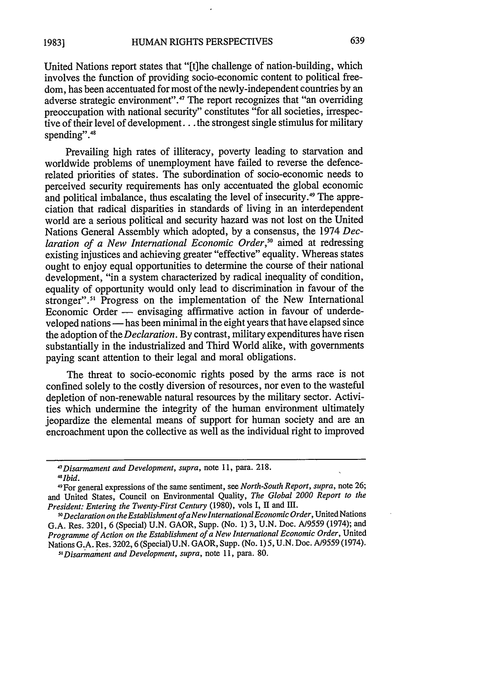United Nations report states that "[t]he challenge of nation-building, which involves the function of providing socio-economic content to political freedom, has been accentuated for most of the newly-independent countries by an adverse strategic environment".<sup>47</sup> The report recognizes that "an overriding preoccupation with national security" constitutes "for all societies, irrespective of their level of development... the strongest single stimulus for military spending".<sup>48</sup>

Prevailing high rates of illiteracy, poverty leading to starvation and worldwide problems of unemployment have failed to reverse the defencerelated priorities of states. The subordination of socio-economic needs to perceived security requirements has only accentuated the global economic and political imbalance, thus escalating the level of insecurity.<sup>49</sup> The appreciation that radical disparities in standards of living in an interdependent world are a serious political and security hazard was not lost on the United Nations General Assembly which adopted, by a consensus, the 1974 *Declaration of a New International Economic Order,"* aimed at redressing existing injustices and achieving greater "effective" equality. Whereas states ought to enjoy equal opportunities to determine the course of their national development, "in a system characterized by radical inequality of condition, equality of opportunity would only lead to discrimination in favour of the stronger".<sup>51</sup> Progress on the implementation of the New International Economic Order - envisaging affirmative action in favour of underdeveloped nations **-** has been minimal in the eight years that have elapsed since the adoption of the *Declaration.* By contrast, military expenditures have risen substantially in the industrialized and Third World alike, with governments paying scant attention to their legal and moral obligations.

The threat to socio-economic rights posed by the arms race is not confined solely to the costly diversion of resources, nor even to the wasteful depletion of non-renewable natural resources by the military sector. Activities which undermine the integrity of the human environment ultimately jeopardize the elemental means of support for human society and are an encroachment upon the collective as well as the individual right to improved

*<sup>4&#</sup>x27;Disarmament and Development, supra,* note 11, para. 218. *4 Ibid.*

<sup>&</sup>quot; 9 For general expressions of the same sentiment, see *North-South Report, supra,* note 26; and United States, Council on Environmental Quality, *The Global 2000 Report to the President: Entering the Twenty-First Century* (1980), vols I, II and III.

*IoDeclaration on the Establishment of a New International Economic Order,* United Nations G.A. Res. 3201, 6 (Special) U.N. GAOR, Supp. (No. 1) 3, U.N. Doe. A/9559 (1974); and *Programme of Action on the Establishment of a New International Economic Order,* United Nations G.A. Res. 3202, 6 (Special) U.N. GAOR, Supp. (No. 1) 5, U.N. Doc. A/9559 (1974).

*Disarmament and Development, supra,* note 11, para. 80.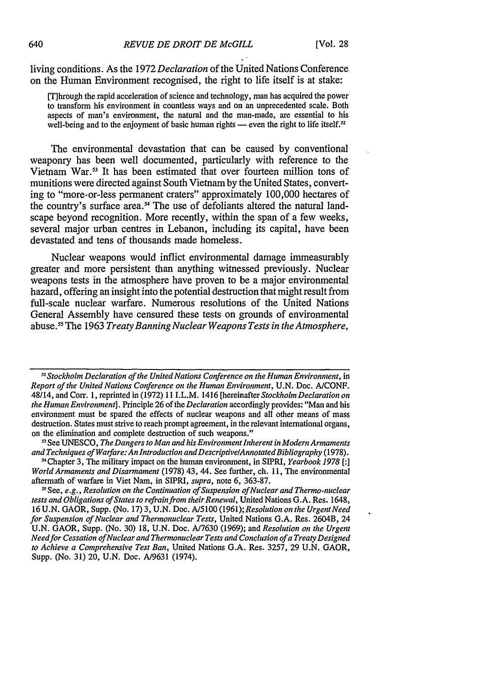living conditions. As the 1972 *Declaration* of the United Nations Conference on the Human Environment recognised, the right to life itself is at stake:

[T]hrough the rapid acceleration of science and technology, man has acquired the power to transform his environment in countless ways and on an unprecedented scale. Both aspects of man's environment, the natural and the man-made, are essential to his well-being and to the enjoyment of basic human rights — even the right to life itself.<sup>52</sup>

The environmental devastation that can be caused by conventional weaponry has been well documented, particularly with reference to the Vietnam War.<sup>53</sup> It has been estimated that over fourteen million tons of munitions were directed against South Vietnam by the United States, converting to "more-or-less permanent craters" approximately 100,000 hectares of the country's surface area.<sup>54</sup> The use of defoliants altered the natural landscape beyond recognition. More recently, within the span of a few weeks, several major urban centres in Lebanon, including its capital, have been devastated and tens of thousands made homeless.

Nuclear weapons would inflict environmental damage immeasurably greater and more persistent than anything witnessed previously. Nuclear weapons tests in the atmosphere have proven to be a major environmental hazard, offering an insight into the potential destruction that might result from full-scale nuclear warfare. Numerous resolutions of the United Nations General Assembly have censured these tests on grounds of environmental abuse." The 1963 *Treaty Banning Nuclear Weapons Tests in the Atmosphere,*

*1 2 Stockholm Declaration of the United Nations Conference on the Human Environment,* in *Report of the United Nations Conference on the Human Environment,* U.N. Doc. A/CONF. 48/14, and Corr. 1, reprinted in (1972) 11 I.L.M. 1416 [hereinafter *Stockholm Declaration on the Human Environment].* Principle 26 of the *Declaration* accordingly provides: "Man and his environment must be spared the effects of nuclear weapons and all other means of mass destruction. States must strive to reach prompt agreement, in the relevant international organs, on the elimination and complete destruction of such weapons."

*<sup>51</sup>*See UNESCO, *The Dangers to Man and his Environment Inherent in Modern Armaments and Techniques of Warfare: An Introduction andDescriptivelAnnotatedBibliography* (1978). -'Chapter 3, The military impact on the human environment, in SIPRI, *Yearbook 1978 [:]*

*World Armaments and Disarmament* (1978) 43, 44. See further, ch. 11, The environmental aftermath of warfare in Viet Nam, in SIPRI, *supra,* note 6, 363-87.

**-1** See, *e.g., Resolution on the Continuation of Suspension of Nuclear and Thermo-nuclear tests and Obligations of States to refrain from their Renewal,* United Nations G.A. Res. 1648, 16 U.N. GAOR, Supp. (No. 17) 3, U.N. Doc. A/5100 *(1961);Resolution on the UrgentNeed for Suspension of Nuclear and Thermonuclear Tests,* United Nations G.A. Res. 2604B, 24 U.N. GAOR, Supp. (No. 30) 18, U.N. Doc. A/7630 (1969); and *Resolution on the Urgent Needfor Cessation of Nuclear and Thermonuclear Tests and Conclusion of a Treaty Designed to Achieve a Comprehensive Test Ban,* United Nations G.A. Res. 3257, 29 U.N. GAOR, Supp. (No. 31) 20, U.N. Doc. A/9631 (1974).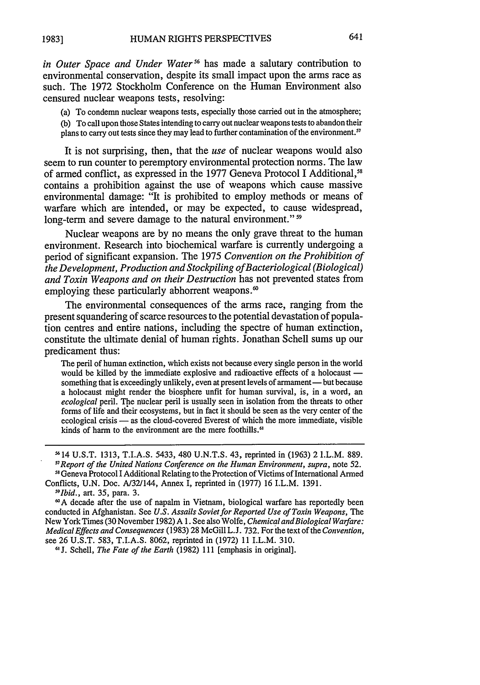*in Outer Space and Under Water*<sup>56</sup> has made a salutary contribution to environmental conservation, despite its small impact upon the arms race as such. The 1972 Stockholm Conference on the Human Environment also censured nuclear weapons tests, resolving:

(a) To condemn nuclear weapons tests, especially those carried out in the atmosphere; (b) To call upon those States intending to carry out nuclear weapons tests to abandon their plans to carry out tests since they may lead to further contamination of the environment.<sup>57</sup>

It is not surprising, then, that the *use* of nuclear weapons would also seem to run counter to peremptory environmental protection norms. The law of armed conflict, as expressed in the 1977 Geneva Protocol I Additional,<sup>58</sup> contains a prohibition against the use of weapons which cause massive environmental damage: "It is prohibited to employ methods or means of warfare which are intended, or may be expected, to cause widespread, long-term and severe damage to the natural environment."<sup>59</sup>

Nuclear weapons are by no means the only grave threat to the human environment. Research into biochemical warfare is currently undergoing a period of significant expansion. The 1975 *Convention on the Prohibition of the Development, Production and Stockpiling ofBacteriological (Biological) and Toxin Weapons and on their Destruction* has not prevented states from employing these particularly abhorrent weapons.<sup>60</sup>

The environmental consequences of the arms race, ranging from the present squandering of scarce resources to the potential devastation of population centres and entire nations, including the spectre of human extinction, constitute the ultimate denial of human rights. Jonathan Schell sums up our predicament thus:

The peril of human extinction, which exists not because every single person in the world would be killed by the immediate explosive and radioactive effects of a holocaust something that is exceedingly unlikely, even at present levels of armament— but because a holocaust might render the biosphere unfit for human survival, is, in a word, an *ecological* peril. The nuclear peril is usually seen in isolation from the threats to other forms of life and their ecosystems, but in fact it should be seen as the very center of the ecological crisis - as the cloud-covered Everest of which the more immediate, visible kinds of harm to the environment are the mere foothills.<sup>61</sup>

**J.** Schell, *The Fate of the Earth* (1982) 111 [emphasis in original].

<sup>5614</sup> U.S.T. 1313, T.I.A.S. 5433, 480 U.N.T.S. 43, reprinted in (1963) 2 I.L.M. 889. *"Report of the United Nations Conference on the Human Environment, supra,* note 52. <sup>58</sup> Geneva Protocol I Additional Relating to the Protection of Victims of International Armed

Conflicts, U.N. Doc. A/32/144, Annex I, reprinted in (1977) 16 I.L.M. 1391. *"Ibid.,* art. 35, para. 3.

**<sup>&#</sup>x27;A** decade after the use of napalm in Vietnam, biological warfare has reportedly been conducted in Afghanistan. See *U.S. Assails Soviet for Reported Use of Toxin Weapons, The* New York Times (30 November 1982) A **1.** See also Wolfe, *Chemical andBiological Warfare: Medical Effects and Consequences* (1983) 28 McGill L.J. 732. For the text of the *Convention,* see 26 U.S.T. 583, T.I.A.S. 8062, reprinted in (1972) 11 I.L.M. 310. **<sup>61</sup>**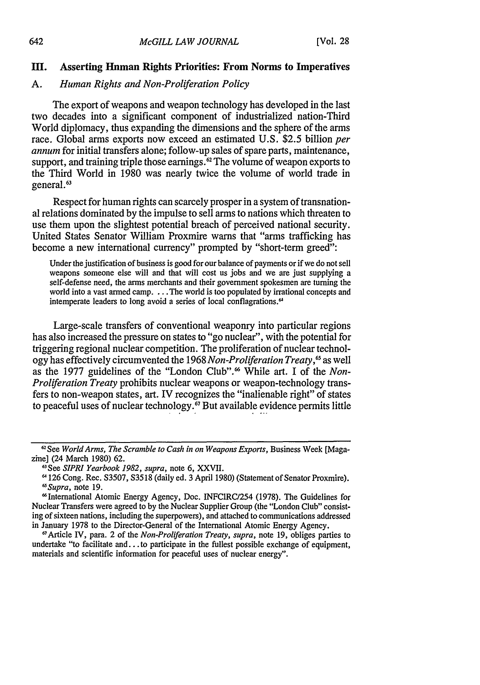#### **I. Asserting Human Rights Priorities: From Norms to Imperatives**

#### **A.** *Human Rights and Non-Proliferation Policy*

The export of weapons and weapon technology has developed in the last two decades into a significant component of industrialized nation-Third World diplomacy, thus expanding the dimensions and the sphere of the arms race. Global arms exports now exceed an estimated **U.S. \$2.5** billion *per annum* for initial transfers alone; follow-up sales of spare parts, maintenance, support, and training triple those earnings.<sup>62</sup> The volume of weapon exports to the Third World in **1980** was nearly twice the volume of world trade in general.<sup>63</sup>

Respect for human rights can scarcely prosper in a system of transnational relations dominated by the impulse to sell arms to nations which threaten to use them upon the slightest potential breach of perceived national security. United States Senator William Proxmire warns that "arms trafficking has become a new international currency" prompted by "short-term greed":

Under the justification of business is good for our balance of payments or if we do not sell weapons someone else will and that will cost us jobs and we are just supplying a self-defense need, the arms merchants and their government spokesmen are turning the world into a vast armed camp. . **.** .The world is too populated by irrational concepts and intemperate leaders to long avoid a series of local conflagrations.<sup>64</sup>

Large-scale transfers of conventional weaponry into particular regions has also increased the pressure on states to "go nuclear", with the potential for triggering regional nuclear competition. The proliferation of nuclear technology has effectively circumvented the 1968 *Non-Proliferation Treaty,65* as well as the 1977 guidelines of the "London Club". 6 While art. I of the *Non-Proliferation Treaty* prohibits nuclear weapons or weapon-technology transfers to non-weapon states, art. IV recognizes the "inalienable right" of states to peaceful uses of nuclear technology.<sup>67</sup> But available evidence permits little

**<sup>61</sup>See** *World Arms, The Scramble to Cash in on Weapons Exports,* Business Week [Magazine] (24 March 1980) 62. *<sup>6</sup>*

*<sup>1</sup>See SIPRI Yearbook 1982, supra,* note 6, XXVII.

<sup>126</sup> Cong. Rec. S3507, S3518 (daily ed. 3 April 1980) (Statement of Senator Proxmire). *6Supra,* note 19.

<sup>6</sup>International Atomic Energy Agency, Doe. INFCIRC/254 (1978). The Guidelines for Nuclear Transfers were agreed to by the Nuclear Supplier Group (the "London Club" consisting of sixteen nations, including the superpowers), and attached to communications addressed in January 1978 to the Director-General of the International Atomic Energy Agency.

Article IV, para. 2 of the *Non-Proliferation Treaty, supra,* note 19, obliges parties to undertake "to facilitate and  $\ldots$  to participate in the fullest possible exchange of equipment, materials and scientific information for peaceful uses of nuclear energy".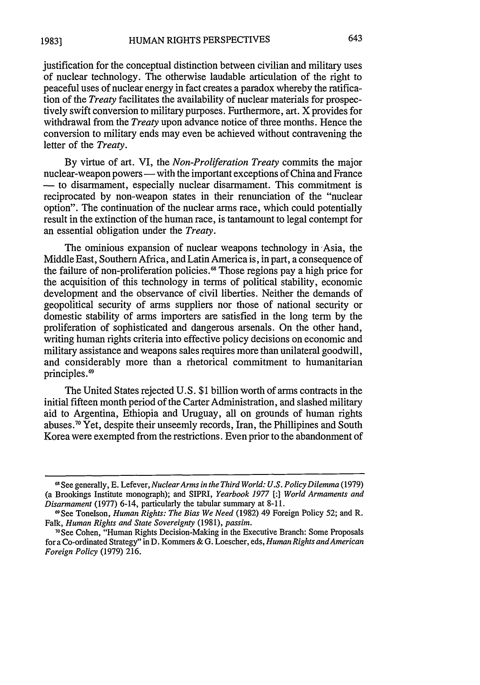justification for the conceptual distinction between civilian and military uses of nuclear technology. The otherwise laudable articulation of the right to peaceful uses of nuclear energy in fact creates a paradox whereby the ratification of the *Treaty* facilitates the availability of nuclear materials for prospectively swift conversion to military purposes. Furthermore, art. X provides for withdrawal from the *Treaty* upon advance notice of three months. Hence the conversion to military ends may even be achieved without contravening the letter of the *Treaty.*

By virtue of art. VI, the *Non-Proliferation Treaty* commits the major nuclear-weapon powers — with the important exceptions of China and France **-** to disarmament, especially nuclear disarmament. This commitment is reciprocated by non-weapon states in their renunciation of the "nuclear option". The continuation of the nuclear arms race, which could potentially result in the extinction of the human race, is tantamount to legal contempt for an essential obligation under the *Treaty.*

The ominious expansion of nuclear weapons technology in Asia, the Middle East, Southern Africa, and Latin America is, in part, a consequence of the failure of non-proliferation policies.<sup>68</sup> Those regions pay a high price for the acquisition of this technology in terms of political stability, economic development and the observance of civil liberties. Neither the demands of geopolitical security of arms suppliers nor those of national security or domestic stability of arms importers are satisfied in the long term by the proliferation of sophisticated and dangerous arsenals. On the other hand, writing human rights criteria into effective policy decisions on economic and military assistance and weapons sales requires more than unilateral goodwill, and considerably more than a rhetorical commitment to humanitarian principles.<sup>69</sup>

The United States rejected U.S. \$1 billion worth of arms contracts in the initial fifteen month period of the Carter Administration, and slashed military aid to Argentina, Ethiopia and Uruguay, all on grounds of human rights abuses.<sup>70</sup> Yet, despite their unseemly records, Iran, the Phillipines and South Korea were exempted from the restrictions. Even prior to the abandonment of

**<sup>61</sup>**See generally, E. Lefever, *NuclearArms in the Third World: U.S. Policy Dilemma* (1979) (a Brookings Institute monograph); and SIPRI, *Yearbook 1977 [:] World Armaments and Disarmament* (1977) 6-14, particularly the tabular summary at 8-11.

<sup>9</sup>See Tonelson, *Human Rights: The Bias We Need* (1982) 49 Foreign Policy 52; and R. Falk, *Human Rights and State Sovereignty* (1981), *passim.*

**<sup>70</sup>** See Cohen, "Human Rights Decision-Making in the Executive Branch: Some Proposals for a Co-ordinated Strategy" in D. Kommers & G. Loescher, eds, *Human Rights andAmerican Foreign Policy* (1979) 216.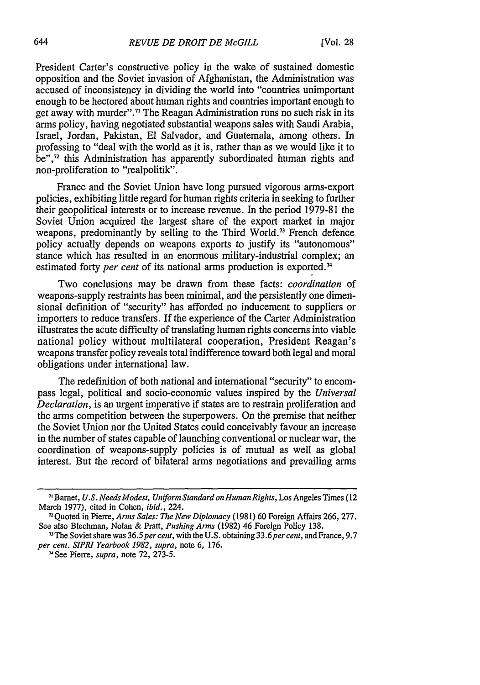President Carter's constructive policy in the wake of sustained domestic opposition and the Soviet invasion of Afghanistan, the Administration was accused of inconsistency in dividing the world into "countries unimportant enough to be hectored about human rights and countries important enough to get away with murder".<sup>71</sup> The Reagan Administration runs no such risk in its arms policy, having negotiated substantial weapons sales with Saudi Arabia, Israel, Jordan, Pakistan, **El** Salvador, and Guatemala, among others. In professing to "deal with the world as it is, rather than as we would like it to be",<sup>72</sup> this Administration has apparently subordinated human rights and non-proliferation to "realpolitik".

France and the Soviet Union have long pursued vigorous arms-export policies, exhibiting little regard for human rights criteria in seeking to further their geopolitical interests or to increase revenue. In the period 1979-81 the Soviet Union acquired the largest share of the export market in major weapons, predominantly by selling to the Third World.<sup>73</sup> French defence policy actually depends on weapons exports to justify its "autonomous" stance which has resulted in an enormous military-industrial complex; an estimated forty *per cent* of its national arms production is exported.<sup>74</sup>

Two conclusions may be drawn from these facts: *coordination* of weapons-supply restraints has been minimal, and the persistently one dimensional definition of "security" has afforded no inducement to suppliers or importers to reduce transfers. If the experience of the Carter Administration illustrates the acute difficulty of translating human rights concerns into viable national policy without multilateral cooperation, President Reagan's weapons transfer policy reveals total indifference toward both legal and moral obligations under international law.

The redefinition of both national and international "security" to encompass legal, political and socio-economic values inspired by the *Universal Declaration,* is an urgent imperative if states are to restrain proliferation and the arms competition between the superpowers. On the premise that neither the Soviet Union nor the United States could conceivably favour an increase in the number of states capable of launching conventional or nuclear war, the coordination of weapons-supply policies is of mutual as well as global interest. But the record of bilateral arms negotiations and prevailing arms

*<sup>7,</sup>* Barnet, *U.S. Needs Modest, Uniform Standard on Human Rights,* Los Angeles Times (12 March 1977), cited in Cohen, *ibid.,* 224.

<sup>72</sup>Quoted in Pierre, *Arms Sales: The New Diplomacy* (1981) 60 Foreign Affairs 266, 277. See also Blechman, Nolan & Pratt, *Pushing Arms* (1982) 46 Foreign Policy 138.

<sup>73</sup> The Soviet share was *36.5percent,* with the U.S. obtaining *33.6per cent,* and France, 9.7 *per cent. SIPRI Yearbook 1982, supra,* note 6, 176.

<sup>74</sup> See Pierre, *supra,* note 72, 273-5.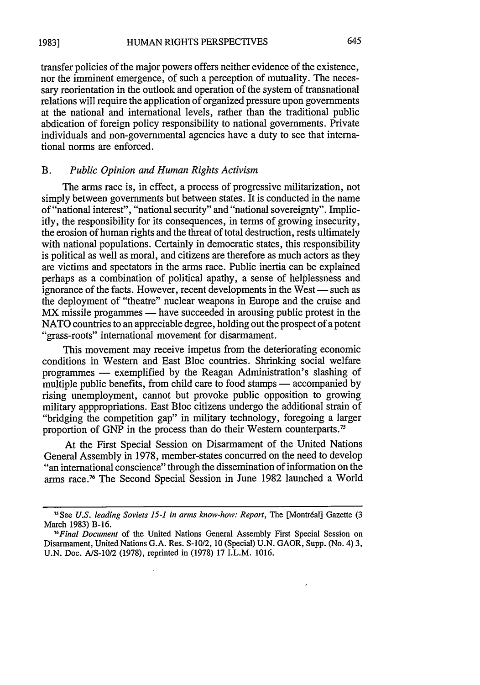645

transfer policies of the major powers offers neither evidence of the existence, nor the imminent emergence, of such a perception of mutuality. The necessary reorientation in the outlook and operation of the system of transnational relations will require the application of organized pressure upon governments at the national and international levels, rather than the traditional public abdication of foreign policy responsibility to national governments. Private individuals and non-governmental agencies have a duty to see that international norms are enforced.

### B. *Public Opinion and Human Rights Activism*

The arms race is, in effect, a process of progressive militarization, not simply between governments but between states. It is conducted in the name of "national interest", "national security" and "national sovereignty". Implicitly, the responsibility for its consequences, in terms of growing insecurity, the erosion of human rights and the threat of total destruction, rests ultimately with national populations. Certainly in democratic states, this responsibility is political as well as moral, and citizens are therefore as much actors as they are victims and spectators in the arms race. Public inertia can be explained perhaps as a combination of political apathy, a sense of helplessness and ignorance of the facts. However, recent developments in the West — such as the deployment of "theatre" nuclear weapons in Europe and the cruise and MX missile progammes — have succeeded in arousing public protest in the NATO countries to an appreciable degree, holding out the prospect of a potent "grass-roots" international movement for disarmament.

This movement may receive impetus from the deteriorating economic conditions in Western and East Bloc countries. Shrinking social welfare programmes - exemplified by the Reagan Administration's slashing of multiple public benefits, from child care to food stamps — accompanied by rising unemployment, cannot but provoke public opposition to growing military apppropriations. East Bloc citizens undergo the additional strain of "bridging the competition gap" in military technology, foregoing a larger proportion of GNP in the process than do their Western counterparts.<sup>75</sup>

At the First Special Session on Disarmament of the United Nations General Assembly in 1978, member-states concurred on the need to develop "an international conscience" through the dissemination of information on the arms race. 76 The Second Special Session in June 1982 launched a World

<sup>&</sup>lt;sup>75</sup> See U.S. leading Soviets 15-1 in arms know-how: Report, The [Montréal] Gazette (3 March 1983) B-16.

*<sup>76</sup> Final Document* of the United Nations General Assembly First Special Session on Disarmament, United Nations G.A. Res. S-10/2, **10** (Special) U.N. GAOR, Supp. (No. 4) 3, U.N. Doe. AIS-10/2 (1978), reprinted in (1978) 17 I.L.M. 1016.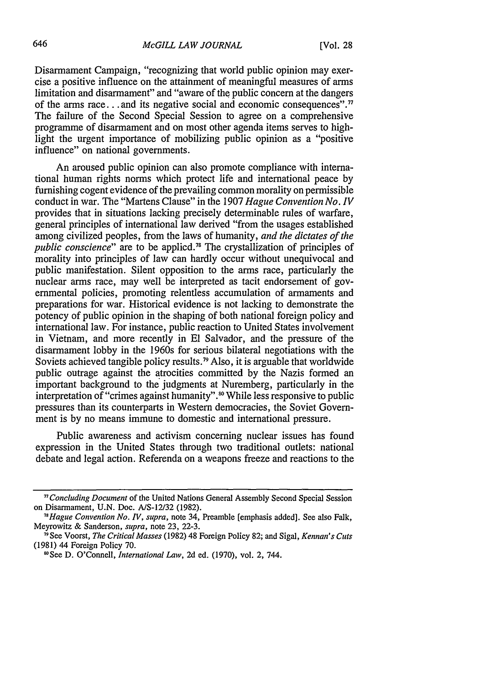Disarmament Campaign, "recognizing that world public opinion may exercise a positive influence on the attainment of meaningful measures of arms limitation and disarmament" and "aware of the public concern at the dangers of the arms race **...** and its negative social and economic consequences"." The failure of the Second Special Session to agree on a comprehensive programme of disarmament and on most other agenda items serves to highlight the urgent importance of mobilizing public opinion as a "positive influence" on national governments.

An aroused public opinion can also promote compliance with international human rights norms which protect life and international peace by furnishing cogent evidence of the prevailing common morality on permissible conduct in war. The "Martens Clause" in the 1907 *Hague Convention No. IV* provides that in situations lacking precisely determinable rules of warfare, general principles of international law derived "from the usages established among civilized peoples, from the laws of humanity, *and the dictates of the public conscience*" are to be applicd.<sup>78</sup> The crystallization of principles of morality into principles of law can hardly occur without unequivocal and public manifestation. Silent opposition to the arms race, particularly the nuclear arms race, may well be interpreted as tacit endorsement of governmental policies, promoting relentless accumulation of armaments and preparations for war. Historical evidence is not lacking to demonstrate the potency of public opinion in the shaping of both national foreign policy and international law. For instance, public reaction to United States involvement in Vietnam, and more recently in **El** Salvador, and the pressure of the disarmament lobby in the 1960s for serious bilateral negotiations with the Soviets achieved tangible policy results.<sup>79</sup> Also, it is arguable that worldwide public outrage against the atrocities committed by the Nazis formed an important background to the judgments at Nuremberg, particularly in the interpretation of "crimes against humanity".<sup>80</sup> While less responsive to public pressures than its counterparts in Western democracies, the Soviet Government is by no means immune to domestic and international pressure.

Public awareness and activism concerning nuclear issues has found expression in the United States through two traditional outlets: national debate and legal action. Referenda on a weapons freeze and reactions to the

*<sup>&</sup>quot;Concluding Document* of the United Nations General Assembly Second Special Session on Disarmament, U.N. Doc. A/S-12/32 (1982).

*<sup>&</sup>quot;Hague Convention No. IV, supra,* note 34, Preamble [emphasis added]. See also Falk, Meyrowitz & Sanderson, *supra,* note 23, 22-3.

<sup>&</sup>quot;See Voorst, *The Critical Masses* (1982) 48 Foreign Policy 82; and Sigal, *Kennan's Cuts* (1981) 44 Foreign Policy 70.

<sup>8</sup>See D. O'Connell, *International Law,* 2d ed. (1970), vol. 2, 744.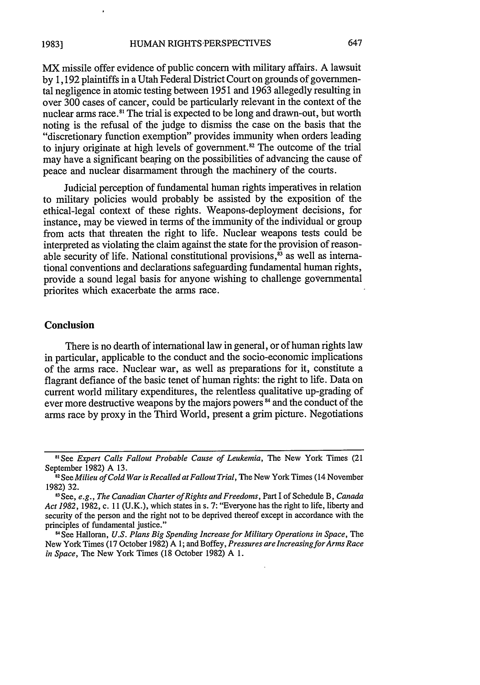MX missile offer evidence of public concern with military affairs. A lawsuit by 1,192 plaintiffs in a Utah Federal District Court on grounds of governmental negligence in atomic testing between 1951 and 1963 allegedly resulting in over 300 cases of cancer, could be particularly relevant in the context of the nuclear arms race.<sup>81</sup> The trial is expected to be long and drawn-out, but worth noting is the refusal of the judge to dismiss the case on the basis that the "discretionary function exemption" provides immunity when orders leading to injury originate at high levels of government.<sup>82</sup> The outcome of the trial may have a significant bearing on the possibilities of advancing the cause of peace and nuclear disarmament through the machinery of the courts.

Judicial perception of fundamental human rights imperatives in relation to military policies would probably be assisted by the exposition of the ethical-legal context of these rights. Weapons-deployment decisions, for instance, may be viewed in terms of the immunity of the individual or group from acts that threaten the right to life. Nuclear weapons tests could be interpreted as violating the claim against the state for the provision of reasonable security of life. National constitutional provisions, $\hat{s}$  as well as international conventions and declarations safeguarding fundamental human rights, provide a sound legal basis for anyone wishing to challenge governmental priorites which exacerbate the arms race.

#### **Conclusion**

There is no dearth of international law in general, or of human rights law in particular, applicable to the conduct and the socio-economic implications of the arms race. Nuclear war, as well as preparations for it, constitute a flagrant defiance of the basic tenet of human rights: the right to life. Data on current world military expenditures, the relentless qualitative up-grading of ever more destructive weapons by the majors powers<sup>84</sup> and the conduct of the arms race by proxy in the Third World, present a grim picture. Negotiations

<sup>&</sup>lt;sup>81</sup> See *Expert Calls Fallout Probable Cause of Leukemia*, The New York Times (21 September 1982) A 13.

<sup>&</sup>lt;sup>52</sup> See *Milieu of Cold War is Recalled at Fallout Trial*, The New York Times (14 November 1982) 32.

**<sup>8</sup> <sup>3</sup>**See, *e.g., The Canadian Charter of Rights and Freedoms,* Part I of Schedule B, *Canada Act 1982,* 1982, c. **11** (U.K.), which states in s. 7: "Everyone has the right to life, liberty and security of the person and the right not to be deprived thereof except in accordance with the principles of fundamental justice."

**<sup>&</sup>quot;** See Halloran, *U.S. Plans Big Spending Increase for Military Operations in Space,* The New York Times **(17** October **1982) A 1;** and Boffey, *Pressures are IncreasingforArms Race in Space,* The New York Times **(18** October **1982) A 1.**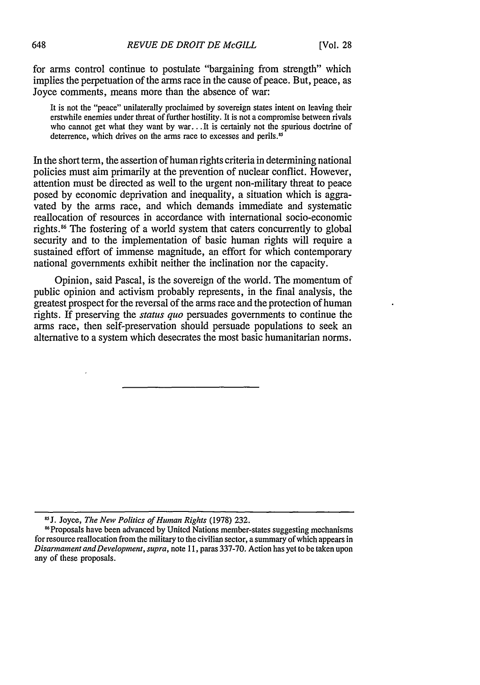for arms control continue to postulate "bargaining from strength" which implies the perpetuation of the arms race in the cause of peace. But, peace, as Joyce comments, means more than the absence of war:

It is not the "peace" unilaterally proclaimed by sovereign states intent on leaving their erstwhile enemies under threat of further hostility. It is not a compromise between rivals who cannot get what they want by war... It is certainly not the spurious doctrine of deterrence, which drives on the arms race to excesses and perils.<sup>85</sup>

In the short term, the assertion of human rights criteria in determining national policies must aim primarily at the prevention of nuclear conflict. However, attention must be directed as well to the urgent non-military threat to peace posed by economic deprivation and inequality, a situation which is aggravated by the arms race, and which demands immediate and systematic reallocation of resources in accordance with international socio-economic rights.<sup>86</sup> The fostering of a world system that caters concurrently to global security and to the implementation of basic human rights will require a sustained effort of immense magnitude, an effort for which contemporary national governments exhibit neither the inclination nor the capacity.

Opinion, said Pascal, is the sovereign of the world. The momentum of public opinion and activism probably represents, in the final analysis, the greatest prospect for the reversal of the arms race and the protection of human rights. If preserving the *status quo* persuades governments to continue the arms race, then self-preservation should persuade populations to seek an alternative to a system which desecrates the most basic humanitarian norms.

**<sup>&</sup>quot;J.** Joyce, *The New Politics of Human Rights* (1978) 232.

<sup>&</sup>quot;Proposals have been advanced by United Nations member-states suggesting mechanisms for resource reallocation from the military to the civilian sector, a summary of which appears in *Disarmament andDevelopment, supra,* note **11,** paras 337-70. Action has yet to be taken upon any of these proposals.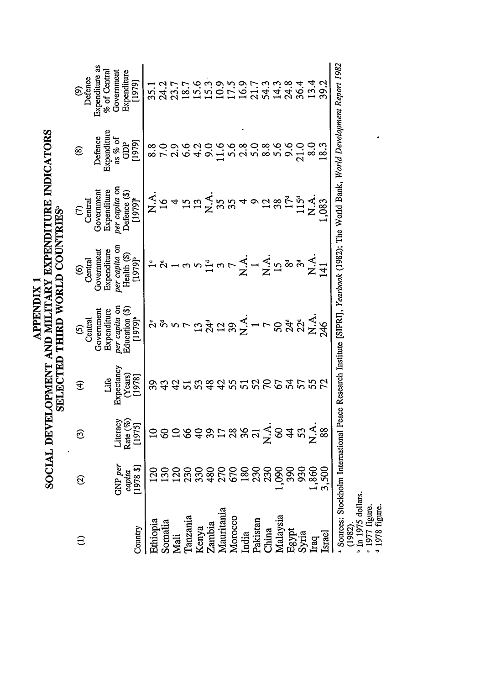| <b>APPENDIX1</b> | SOCIAL DEVELOPMENT AND MILITARY EXPENDITURE INDICATOR | SELECTED THIRD WORLD COUNTRIES <sup>®</sup> |
|------------------|-------------------------------------------------------|---------------------------------------------|
|                  |                                                       |                                             |

 $\boldsymbol{\omega}$ 

Expenditure as<br>% of Central<br>Government<br>Expenditure Defence **i** a i س ن خ ن ه ن [1979]  $15.6$  $5.3$  $0.9$  $39.2$ **10**  $18.7$  $\circledcirc$  $35.1$  $\geq$ Expenditure **2-** Defence as % of GDP  $[1979]$  $2.9$  $9.0$  $\frac{9}{10}$ 5.6  $2.8$  $8.8$ 5.6 9.6 21.0  $8.0$  $8.8$ <br>7.0  $6.6$  $4.2$  $18.3$ <u>@</u> **Government**<br> **Expenditure**<br> *per capita* on<br> **Defence** (\$)<br>
[1979]<sup>b</sup>  $\sum_{i=1}^{n}$ Central  $\sum_{i=1}^{n}$  $115<sup>d</sup>$  $\sum_{i=1}^{n}$  $\overline{a}$ .083  $\epsilon$ **00***.C* **Government**<br>Expenditure<br>*per capita* on Health (\$) **0** Central  $[1979]$ **z z- Z c** in  $\mathbb{Z}$  m  $\odot$  $\overline{41}$ per capita on<br>Education (\$)<br>[1979]<sup>b</sup> **Government**<br>Expenditure Central ង ង  $\odot$  $242.4$   $\frac{1}{2}$   $\frac{1}{2}$   $\frac{1}{2}$   $\frac{1}{2}$   $\frac{1}{2}$   $\frac{1}{2}$   $\frac{1}{2}$   $\frac{1}{2}$   $\frac{1}{2}$   $\frac{1}{2}$   $\frac{1}{2}$   $\frac{1}{2}$   $\frac{1}{2}$   $\frac{1}{2}$   $\frac{1}{2}$   $\frac{1}{2}$   $\frac{1}{2}$   $\frac{1}{2}$   $\frac{1}{2}$   $\frac{1}{2}$   $\frac{1}{2}$   $\frac$ **oo** tC) **oo** Life<br>Expectancy<br>(Years)<br>[1978] **2542**  $\widehat{\mathfrak{X}}$  $S<sub>2</sub>$ 55 39  $\mathcal{L}$  $\frac{8}{4}$  $\mathcal{L}$  $55$  $\overline{51}$ S3 o **w**.C **Literacy**<br>**Rate** (%)<br>[1975] o 8 5 8 <del>8</del> 8 7 8 8 9 <sup>2</sup> 8 <del>4</del> 8 2 7  $\widehat{\mathfrak{S}}$ 0. <u>ন্ত</u> capita<br>[1978 \$]  $GNP$  per 8888888888888<br>88888888888888  $\widehat{\Omega}$  $\frac{a}{2}$  **C**  $\frac{a}{2}$  **C**  $\frac{b}{2}$  **C**  $\frac{c}{2}$ Ethiopia Somalia Country **'넘 ᄇ** g 요 연 연 면 여 연 면 유 연 연 원  $\widehat{c}$ 

in 1975 dollars.  $(1982).$ 

• 1977 figure.<br><sup>4</sup> 1978 figure.